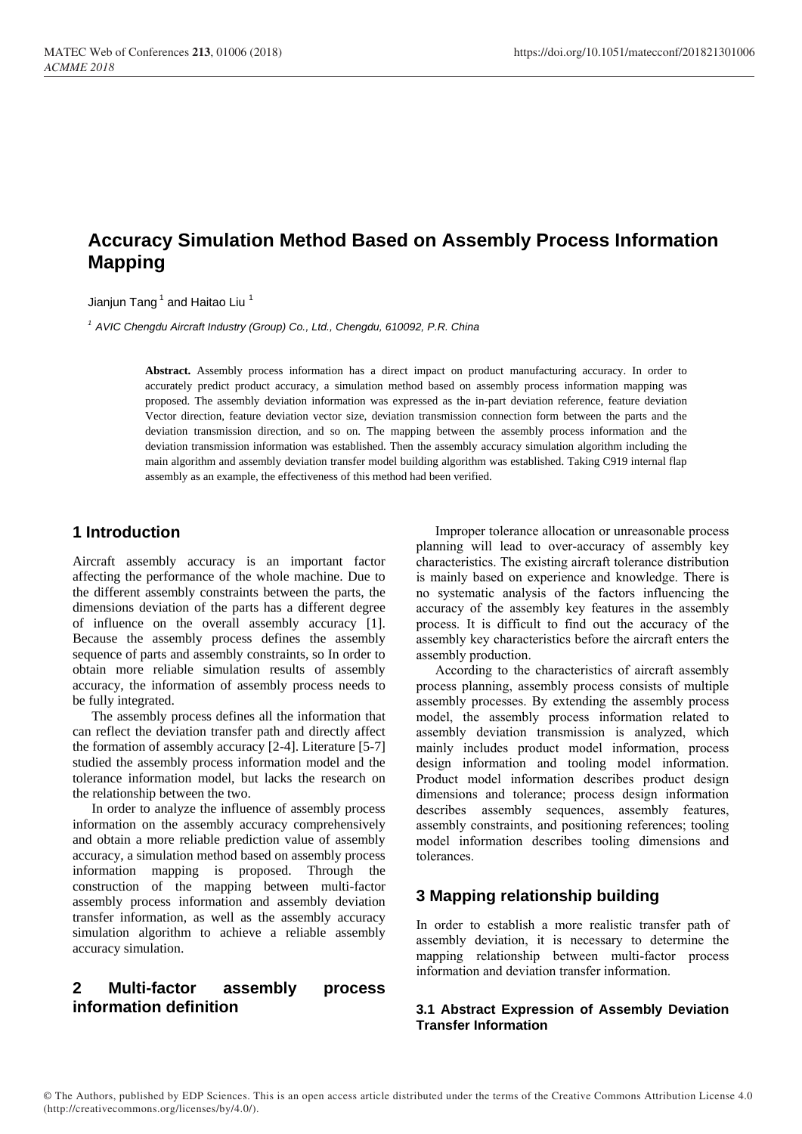# **Accuracy Simulation Method Based on Assembly Process Information Mapping**

Jianjun Tang $^{\rm 1}$  and Haitao Liu  $^{\rm 1}$ 

*1 AVIC Chengdu Aircraft Industry (Group) Co., Ltd., Chengdu, 610092, P.R. China*

**Abstract.** Assembly process information has a direct impact on product manufacturing accuracy. In order to accurately predict product accuracy, a simulation method based on assembly process information mapping was proposed. The assembly deviation information was expressed as the in-part deviation reference, feature deviation Vector direction, feature deviation vector size, deviation transmission connection form between the parts and the deviation transmission direction, and so on. The mapping between the assembly process information and the deviation transmission information was established. Then the assembly accuracy simulation algorithm including the main algorithm and assembly deviation transfer model building algorithm was established. Taking C919 internal flap assembly as an example, the effectiveness of this method had been verified.

### **1 Introduction**

Aircraft assembly accuracy is an important factor affecting the performance of the whole machine. Due to the different assembly constraints between the parts, the dimensions deviation of the parts has a different degree of influence on the overall assembly accuracy [1]. Because the assembly process defines the assembly sequence of parts and assembly constraints, so In order to obtain more reliable simulation results of assembly accuracy, the information of assembly process needs to be fully integrated.

The assembly process defines all the information that can reflect the deviation transfer path and directly affect the formation of assembly accuracy [2-4]. Literature [5-7] studied the assembly process information model and the tolerance information model, but lacks the research on the relationship between the two.

In order to analyze the influence of assembly process information on the assembly accuracy comprehensively and obtain a more reliable prediction value of assembly accuracy, a simulation method based on assembly process information mapping is proposed. Through the construction of the mapping between multi-factor assembly process information and assembly deviation transfer information, as well as the assembly accuracy simulation algorithm to achieve a reliable assembly accuracy simulation.

## **2 Multi-factor assembly process information definition**

Improper tolerance allocation or unreasonable process planning will lead to over-accuracy of assembly key characteristics. The existing aircraft tolerance distribution is mainly based on experience and knowledge. There is no systematic analysis of the factors influencing the accuracy of the assembly key features in the assembly process. It is difficult to find out the accuracy of the assembly key characteristics before the aircraft enters the assembly production.

According to the characteristics of aircraft assembly process planning, assembly process consists of multiple assembly processes. By extending the assembly process model, the assembly process information related to assembly deviation transmission is analyzed, which mainly includes product model information, process design information and tooling model information. Product model information describes product design dimensions and tolerance; process design information describes assembly sequences, assembly features, assembly constraints, and positioning references; tooling model information describes tooling dimensions and tolerances.

### **3 Mapping relationship building**

In order to establish a more realistic transfer path of assembly deviation, it is necessary to determine the mapping relationship between multi-factor process information and deviation transfer information.

#### **3.1 Abstract Expression of Assembly Deviation Transfer Information**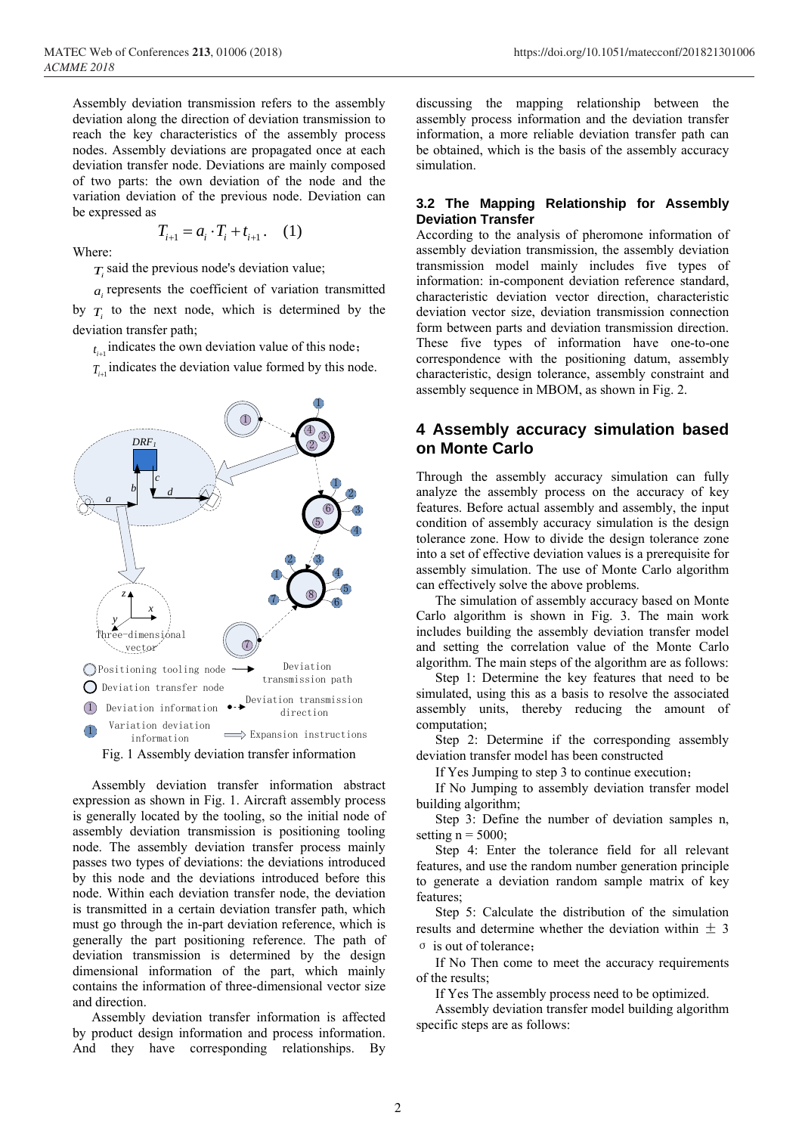Assembly deviation transmission refers to the assembly deviation along the direction of deviation transmission to reach the key characteristics of the assembly process nodes. Assembly deviations are propagated once at each deviation transfer node. Deviations are mainly composed of two parts: the own deviation of the node and the variation deviation of the previous node. Deviation can be expressed as

$$
T_{i+1} = a_i \cdot T_i + t_{i+1} \tag{1}
$$

Where:

 $T_i$  said the previous node's deviation value;

 $a_i$  represents the coefficient of variation transmitted

by  $T_i$  to the next node, which is determined by the deviation transfer path;

 $t_{i+1}$  indicates the own deviation value of this node;

 $T_{i+1}$  indicates the deviation value formed by this node.



Assembly deviation transfer information abstract expression as shown in Fig. 1. Aircraft assembly process is generally located by the tooling, so the initial node of assembly deviation transmission is positioning tooling node. The assembly deviation transfer process mainly passes two types of deviations: the deviations introduced by this node and the deviations introduced before this node. Within each deviation transfer node, the deviation is transmitted in a certain deviation transfer path, which must go through the in-part deviation reference, which is generally the part positioning reference. The path of deviation transmission is determined by the design dimensional information of the part, which mainly contains the information of three-dimensional vector size and direction.

Assembly deviation transfer information is affected by product design information and process information. And they have corresponding relationships. By discussing the mapping relationship between the assembly process information and the deviation transfer information, a more reliable deviation transfer path can be obtained, which is the basis of the assembly accuracy simulation.

#### **3.2 The Mapping Relationship for Assembly Deviation Transfer**

According to the analysis of pheromone information of assembly deviation transmission, the assembly deviation transmission model mainly includes five types of information: in-component deviation reference standard, characteristic deviation vector direction, characteristic deviation vector size, deviation transmission connection form between parts and deviation transmission direction. These five types of information have one-to-one correspondence with the positioning datum, assembly characteristic, design tolerance, assembly constraint and assembly sequence in MBOM, as shown in Fig. 2.

### **4 Assembly accuracy simulation based on Monte Carlo**

Through the assembly accuracy simulation can fully analyze the assembly process on the accuracy of key features. Before actual assembly and assembly, the input condition of assembly accuracy simulation is the design tolerance zone. How to divide the design tolerance zone into a set of effective deviation values is a prerequisite for assembly simulation. The use of Monte Carlo algorithm can effectively solve the above problems.

The simulation of assembly accuracy based on Monte Carlo algorithm is shown in Fig. 3. The main work includes building the assembly deviation transfer model and setting the correlation value of the Monte Carlo algorithm. The main steps of the algorithm are as follows:

Step 1: Determine the key features that need to be simulated, using this as a basis to resolve the associated assembly units, thereby reducing the amount of computation;

Step 2: Determine if the corresponding assembly deviation transfer model has been constructed

If Yes Jumping to step 3 to continue execution;

If No Jumping to assembly deviation transfer model building algorithm;

Step 3: Define the number of deviation samples n, setting  $n = 5000$ ;

Step 4: Enter the tolerance field for all relevant features, and use the random number generation principle to generate a deviation random sample matrix of key features;

Step 5: Calculate the distribution of the simulation results and determine whether the deviation within  $\pm$  3 σ is out of tolerance;

If No Then come to meet the accuracy requirements of the results;

If Yes The assembly process need to be optimized.

Assembly deviation transfer model building algorithm specific steps are as follows: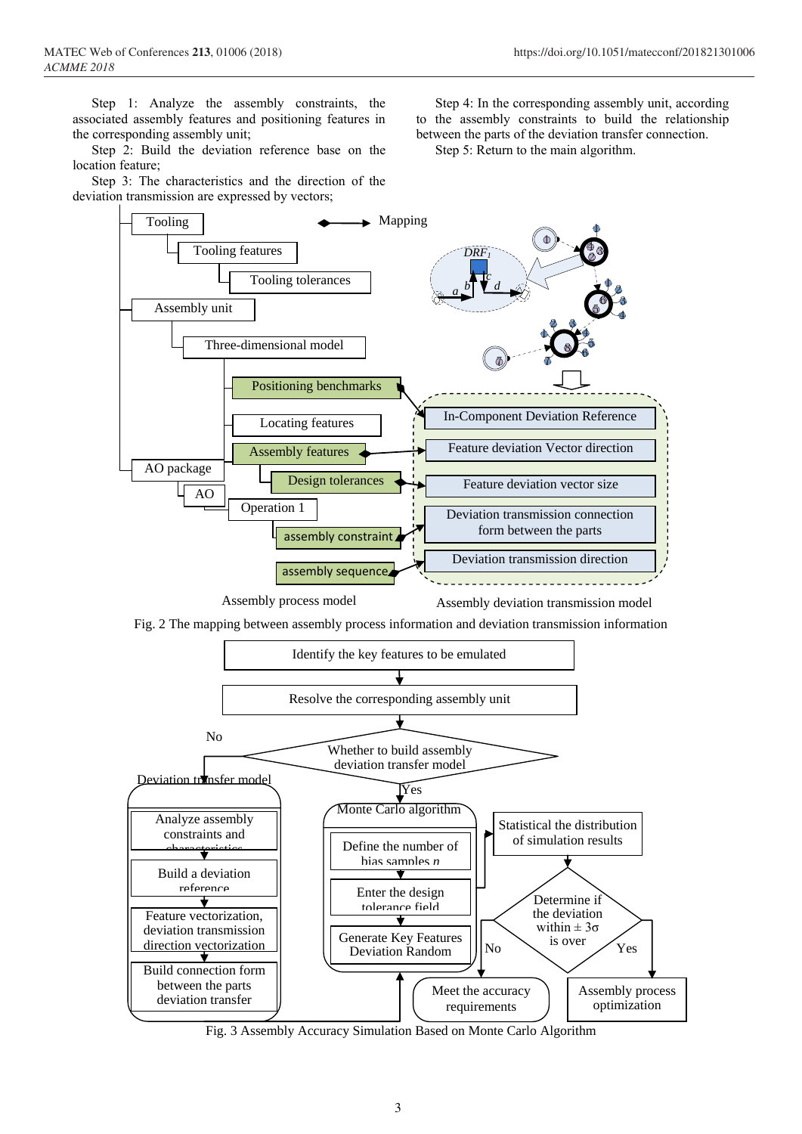Step 1: Analyze the assembly constraints, the associated assembly features and positioning features in the corresponding assembly unit;

Step 2: Build the deviation reference base on the location feature;

Step 3: The characteristics and the direction of the deviation transmission are expressed by vectors;

Step 4: In the corresponding assembly unit, according to the assembly constraints to build the relationship between the parts of the deviation transfer connection.

Step 5: Return to the main algorithm.





Fig. 3 Assembly Accuracy Simulation Based on Monte Carlo Algorithm